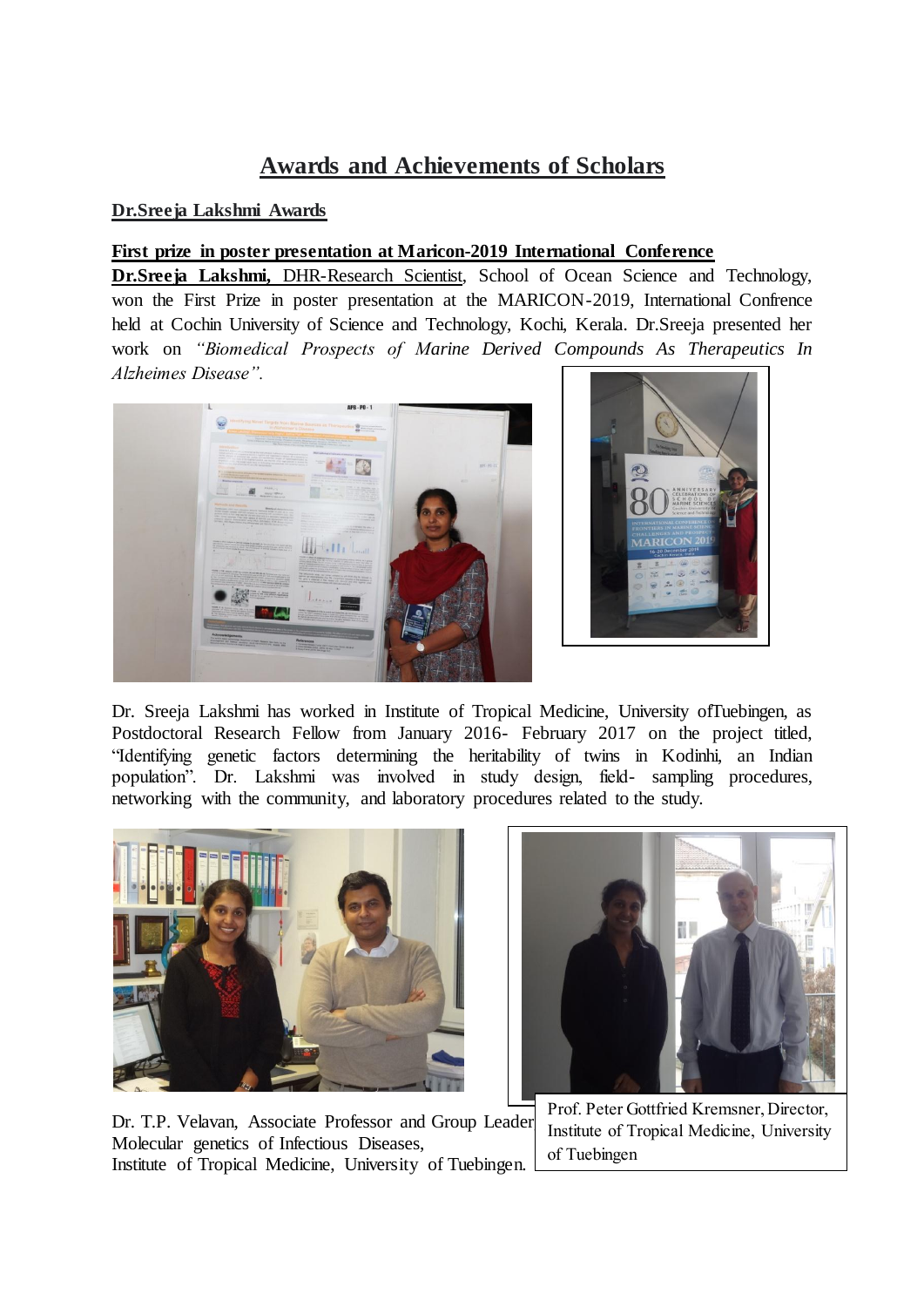## **Awards and Achievements of Scholars**

## **Dr.Sreeja Lakshmi Awards**

## **First prize in poster presentation at Maricon-2019 International Conference**

**Dr.Sreeja Lakshmi,** DHR-Research Scientist, School of Ocean Science and Technology, won the First Prize in poster presentation at the MARICON-2019, International Confrence held at Cochin University of Science and Technology, Kochi, Kerala. Dr.Sreeja presented her work on *"Biomedical Prospects of Marine Derived Compounds As Therapeutics In Alzheimes Disease".*





Dr. Sreeja Lakshmi has worked in Institute of Tropical Medicine, University ofTuebingen, as Postdoctoral Research Fellow from January 2016- February 2017 on the project titled, "Identifying genetic factors determining the heritability of twins in Kodinhi, an Indian population". Dr. Lakshmi was involved in study design, field- sampling procedures, networking with the community, and laboratory procedures related to the study.





Dr. T.P. Velavan, Associate Professor and Group Leader Molecular genetics of Infectious Diseases, Institute of Tropical Medicine, University of Tuebingen.

Prof. Peter Gottfried Kremsner, Director, Institute of Tropical Medicine, University of Tuebingen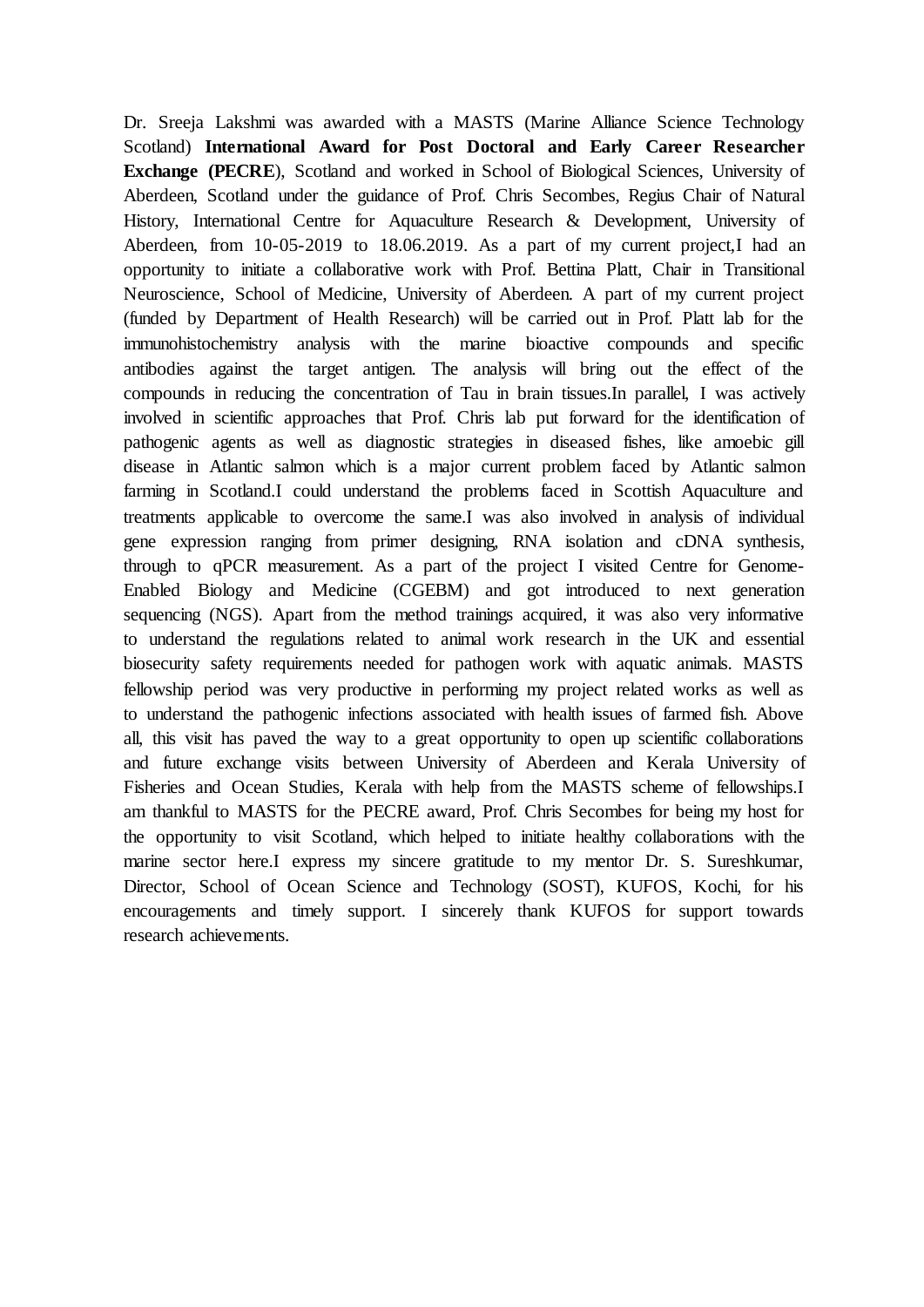Dr. Sreeja Lakshmi was awarded with a MASTS (Marine Alliance Science Technology Scotland) **International Award for Post Doctoral and Early Career Researcher Exchange (PECRE), Scotland and worked in School of Biological Sciences, University of** Aberdeen, Scotland under the guidance of Prof. Chris Secombes, Regius Chair of Natural History, International Centre for Aquaculture Research & Development, University of Aberdeen, from 10-05-2019 to 18.06.2019. As a part of my current project,I had an opportunity to initiate a collaborative work with Prof. Bettina Platt, Chair in Transitional Neuroscience, School of Medicine, University of Aberdeen. A part of my current project (funded by Department of Health Research) will be carried out in Prof. Platt lab for the immunohistochemistry analysis with the marine bioactive compounds and specific antibodies against the target antigen. The analysis will bring out the effect of the compounds in reducing the concentration of Tau in brain tissues.In parallel, I was actively involved in scientific approaches that Prof. Chris lab put forward for the identification of pathogenic agents as well as diagnostic strategies in diseased fishes, like amoebic gill disease in Atlantic salmon which is a major current problem faced by Atlantic salmon farming in Scotland.I could understand the problems faced in Scottish Aquaculture and treatments applicable to overcome the same.I was also involved in analysis of individual gene expression ranging from primer designing, RNA isolation and cDNA synthesis, through to qPCR measurement. As a part of the project I visited Centre for Genome-Enabled Biology and Medicine (CGEBM) and got introduced to next generation sequencing (NGS). Apart from the method trainings acquired, it was also very informative to understand the regulations related to animal work research in the UK and essential biosecurity safety requirements needed for pathogen work with aquatic animals. MASTS fellowship period was very productive in performing my project related works as well as to understand the pathogenic infections associated with health issues of farmed fish. Above all, this visit has paved the way to a great opportunity to open up scientific collaborations and future exchange visits between University of Aberdeen and Kerala University of Fisheries and Ocean Studies, Kerala with help from the MASTS scheme of fellowships.I am thankful to MASTS for the PECRE award, Prof. Chris Secombes for being my host for the opportunity to visit Scotland, which helped to initiate healthy collaborations with the marine sector here.I express my sincere gratitude to my mentor Dr. S. Sureshkumar, Director, School of Ocean Science and Technology (SOST), KUFOS, Kochi, for his encouragements and timely support. I sincerely thank KUFOS for support towards research achievements.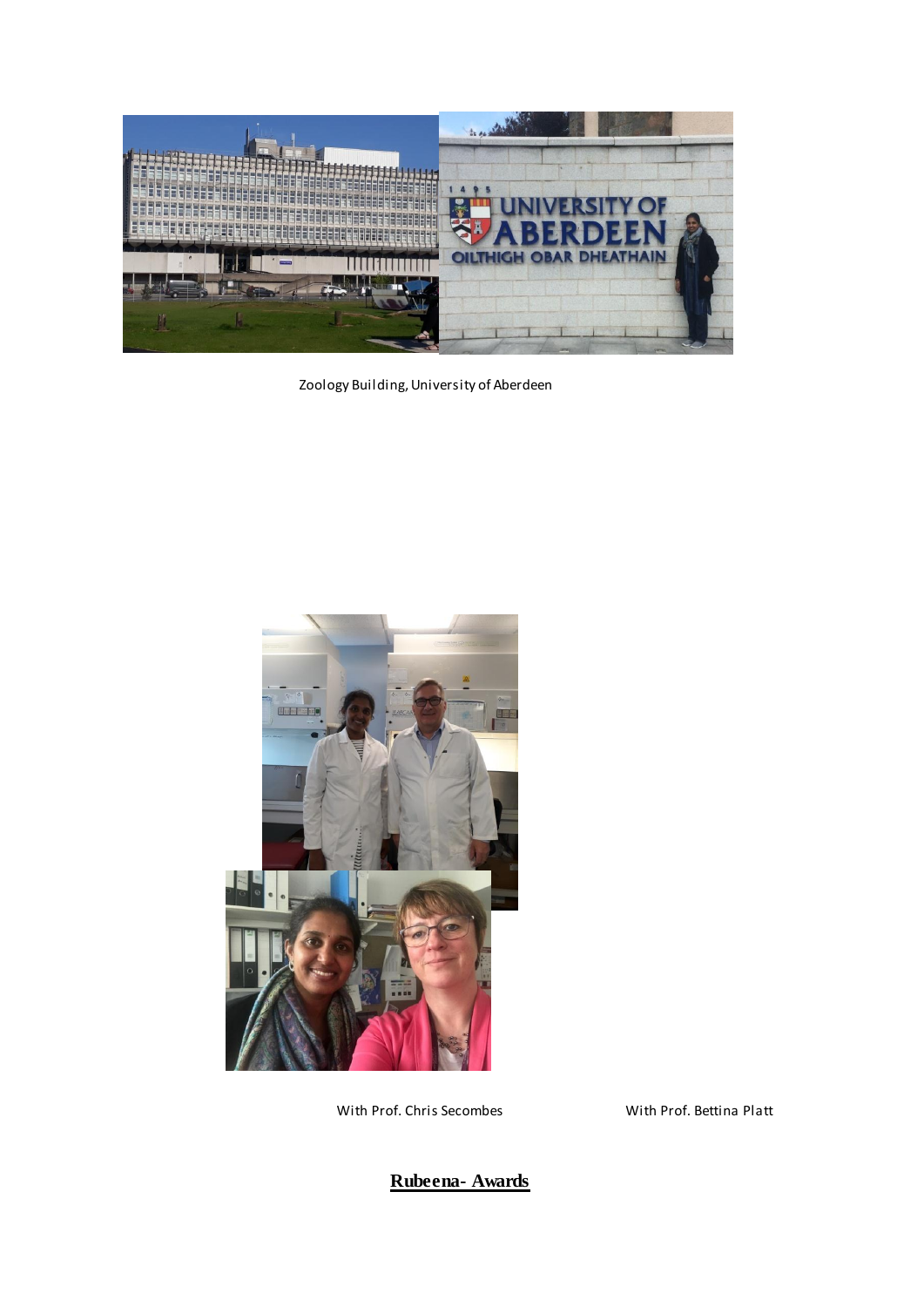

Zoology Building, University of Aberdeen



With Prof. Chris Secombes With Prof. Bettina Platt

**Rubeena- Awards**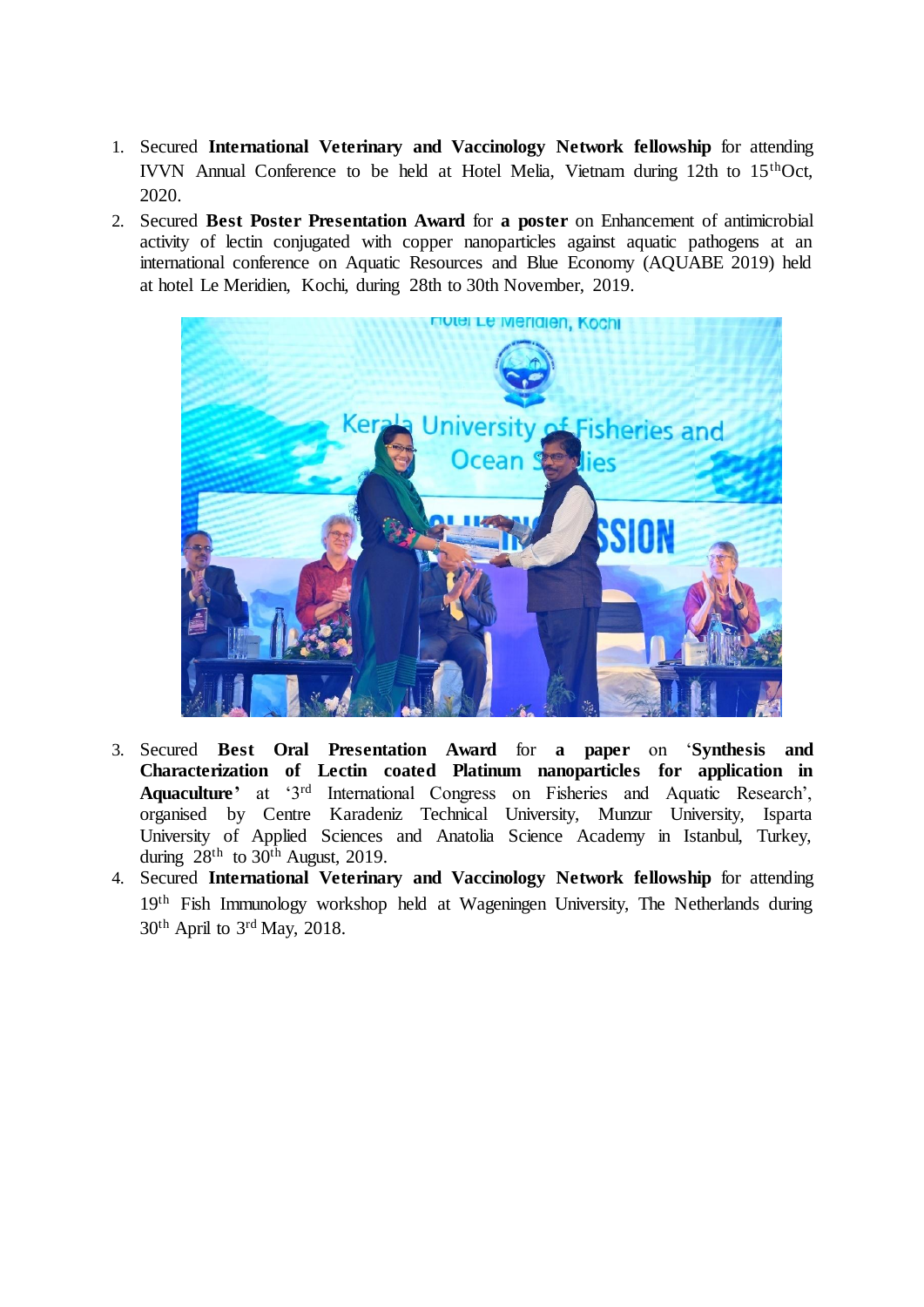- 1. Secured **International Veterinary and Vaccinology Network fellowship** for attending IVVN Annual Conference to be held at Hotel Melia, Vietnam during 12th to 15thOct, 2020.
- 2. Secured **Best Poster Presentation Award** for **a poster** on Enhancement of antimicrobial activity of lectin conjugated with copper nanoparticles against aquatic pathogens at an international conference on Aquatic Resources and Blue Economy (AQUABE 2019) held at hotel Le Meridien, Kochi, during 28th to 30th November, 2019.



- 3. Secured **Best Oral Presentation Award** for **a paper** on '**Synthesis and Characterization of Lectin coated Platinum nanoparticles for application in Aquaculture'** at '3rd International Congress on Fisheries and Aquatic Research', organised by Centre Karadeniz Technical University, Munzur University, Isparta University of Applied Sciences and Anatolia Science Academy in Istanbul, Turkey, during 28<sup>th</sup> to 30<sup>th</sup> August, 2019.
- 4. Secured **International Veterinary and Vaccinology Network fellowship** for attending 19th Fish Immunology workshop held at Wageningen University, The Netherlands during 30th April to 3rd May, 2018.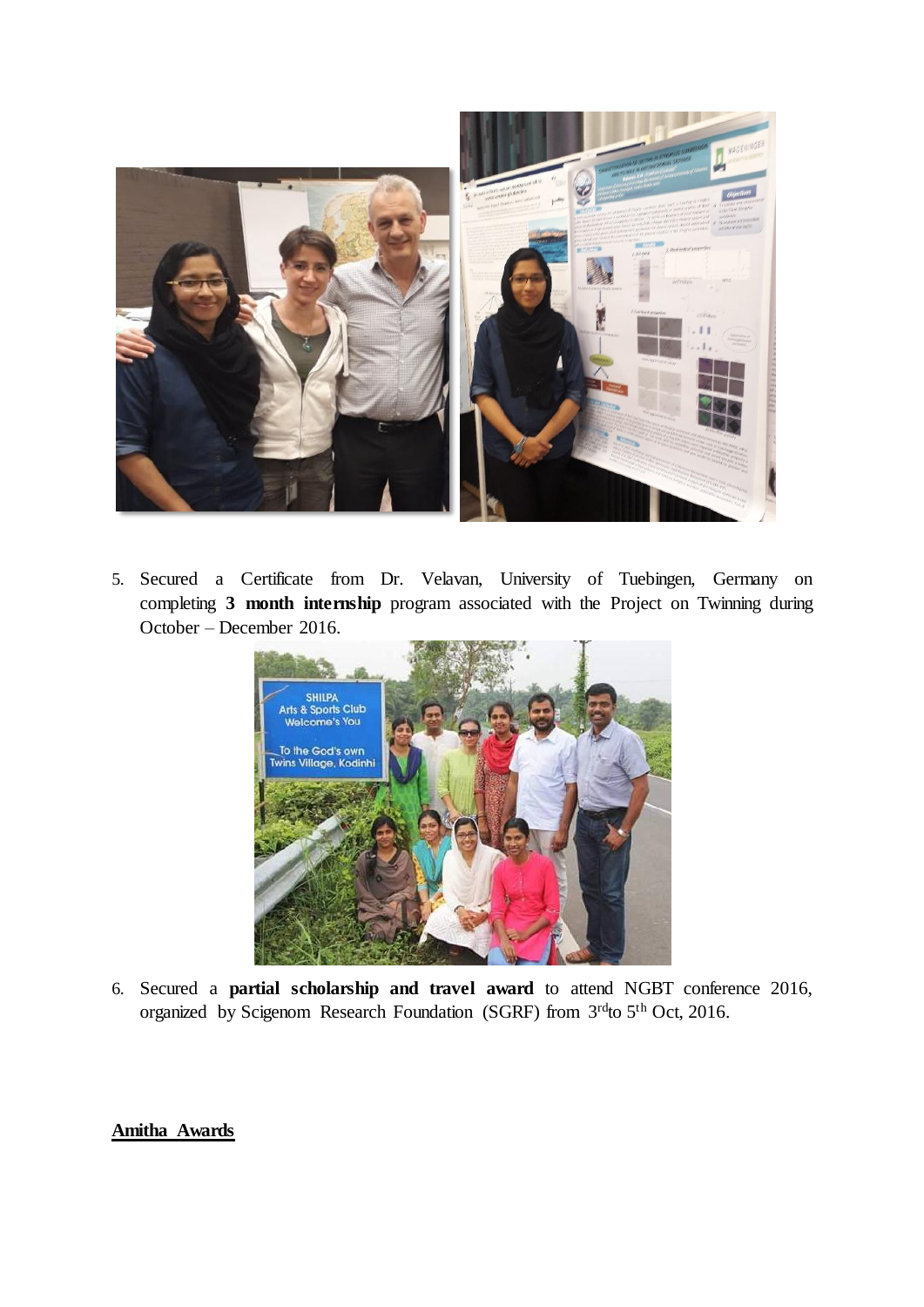

5. Secured a Certificate from Dr. Velavan, University of Tuebingen, Germany on completing **3 month internship** program associated with the Project on Twinning during October – December 2016.



6. Secured a **partial scholarship and travel award** to attend NGBT conference 2016, organized by Scigenom Research Foundation (SGRF) from 3rdto 5th Oct, 2016.

## **Amitha Awards**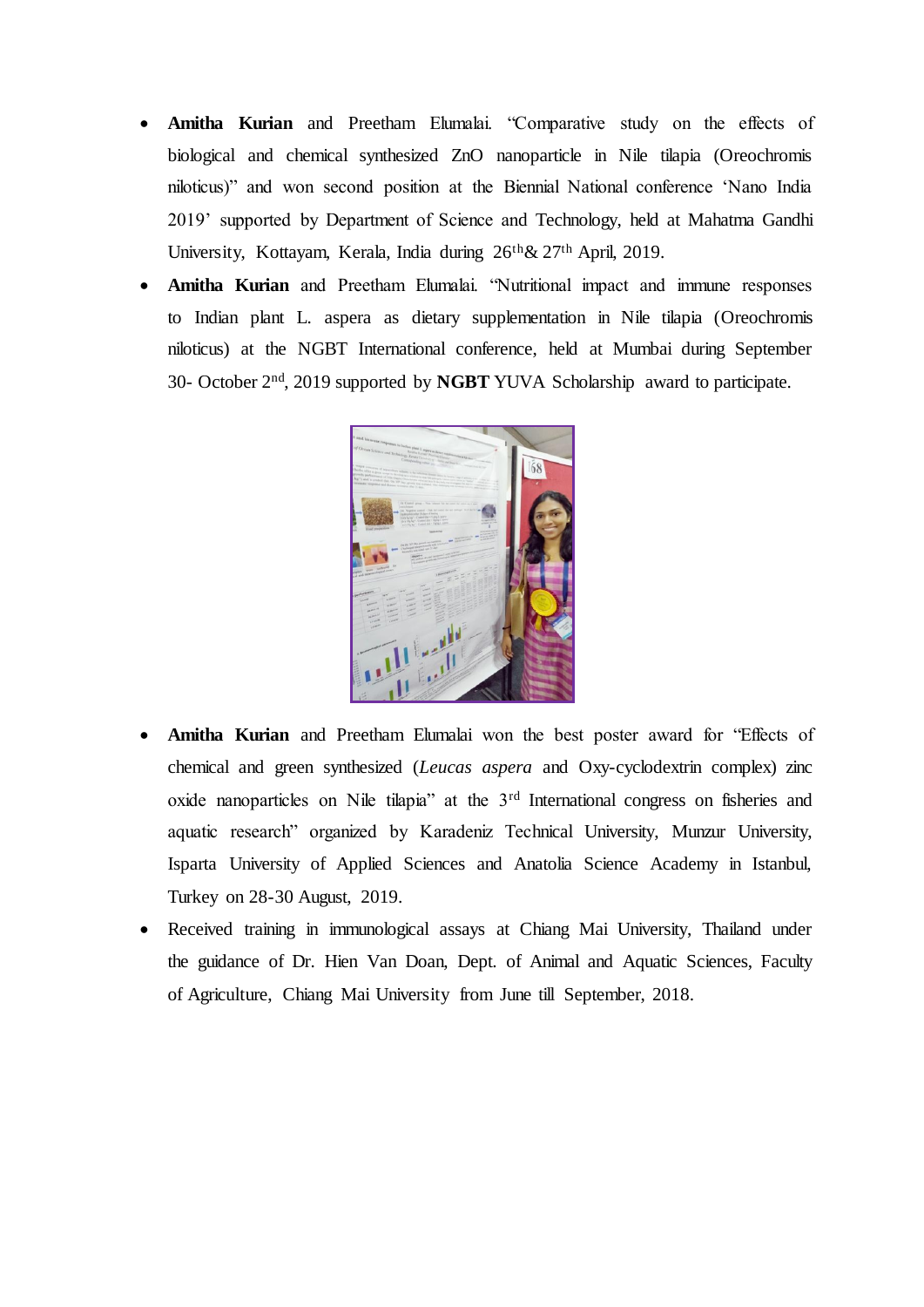- **Amitha Kurian** and Preetham Elumalai. "Comparative study on the effects of biological and chemical synthesized ZnO nanoparticle in Nile tilapia (Oreochromis niloticus)" and won second position at the Biennial National conference 'Nano India 2019' supported by Department of Science and Technology, held at Mahatma Gandhi University, Kottayam, Kerala, India during 26<sup>th</sup> & 27<sup>th</sup> April, 2019.
- **Amitha Kurian** and Preetham Elumalai. "Nutritional impact and immune responses to Indian plant L. aspera as dietary supplementation in Nile tilapia (Oreochromis niloticus) at the NGBT International conference, held at Mumbai during September 30- October 2nd, 2019 supported by **NGBT** YUVA Scholarship award to participate.



- **Amitha Kurian** and Preetham Elumalai won the best poster award for "Effects of chemical and green synthesized (*Leucas aspera* and Oxy-cyclodextrin complex) zinc oxide nanoparticles on Nile tilapia" at the 3rd International congress on fisheries and aquatic research" organized by Karadeniz Technical University, Munzur University, Isparta University of Applied Sciences and Anatolia Science Academy in Istanbul, Turkey on 28-30 August, 2019.
- Received training in immunological assays at Chiang Mai University, Thailand under the guidance of Dr. Hien Van Doan, Dept. of Animal and Aquatic Sciences, Faculty of Agriculture, Chiang Mai University from June till September, 2018.